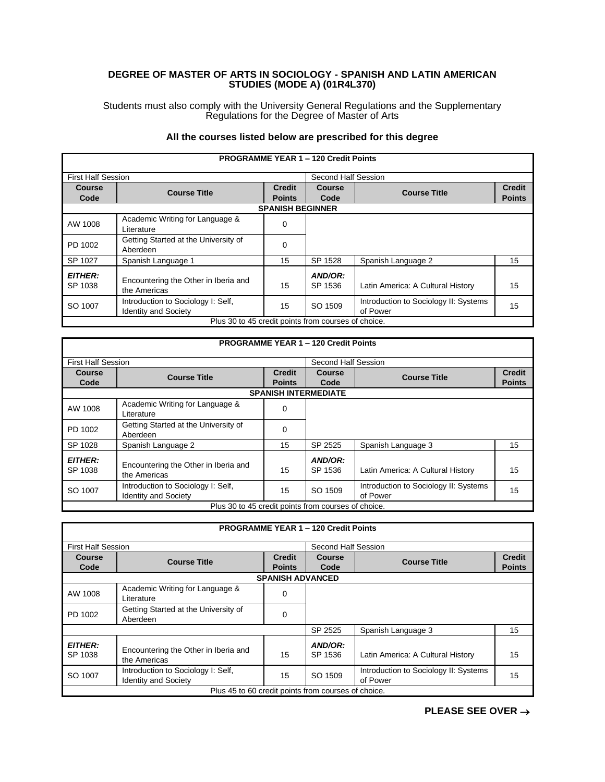## **DEGREE OF MASTER OF ARTS IN SOCIOLOGY - SPANISH AND LATIN AMERICAN STUDIES (MODE A) (01R4L370)**

Students must also comply with the University General Regulations and the Supplementary Regulations for the Degree of Master of Arts

## **All the courses listed below are prescribed for this degree**

|                           |                                                     |                         | <b>PROGRAMME YEAR 1 - 120 Credit Points</b> |                                       |               |
|---------------------------|-----------------------------------------------------|-------------------------|---------------------------------------------|---------------------------------------|---------------|
| <b>First Half Session</b> |                                                     |                         | Second Half Session                         |                                       |               |
| <b>Course</b>             | <b>Course Title</b>                                 | <b>Credit</b>           | Course                                      | <b>Course Title</b>                   | <b>Credit</b> |
| Code                      |                                                     | <b>Points</b>           | Code                                        |                                       | <b>Points</b> |
|                           |                                                     | <b>SPANISH BEGINNER</b> |                                             |                                       |               |
| AW 1008                   | Academic Writing for Language &                     | 0                       |                                             |                                       |               |
|                           | Literature                                          |                         |                                             |                                       |               |
| PD 1002                   | Getting Started at the University of                | $\Omega$                |                                             |                                       |               |
|                           | Aberdeen                                            |                         |                                             |                                       |               |
| SP 1027                   | Spanish Language 1                                  | 15                      | SP 1528                                     | Spanish Language 2                    | 15            |
| <b>EITHER:</b>            |                                                     |                         | AND/OR:                                     |                                       |               |
| SP 1038                   | Encountering the Other in Iberia and                | 15                      | SP 1536                                     | Latin America: A Cultural History     | 15            |
|                           | the Americas                                        |                         |                                             |                                       |               |
| SO 1007                   | Introduction to Sociology I: Self,                  | 15                      | SO 1509                                     | Introduction to Sociology II: Systems | 15            |
|                           | <b>Identity and Society</b>                         |                         |                                             | of Power                              |               |
|                           | Plus 30 to 45 credit points from courses of choice. |                         |                                             |                                       |               |

|                           |                                                                   |                                | <b>PROGRAMME YEAR 1 - 120 Credit Points</b> |                                                   |                                |
|---------------------------|-------------------------------------------------------------------|--------------------------------|---------------------------------------------|---------------------------------------------------|--------------------------------|
| <b>First Half Session</b> |                                                                   |                                | Second Half Session                         |                                                   |                                |
| Course<br>Code            | <b>Course Title</b>                                               | <b>Credit</b><br><b>Points</b> | <b>Course</b><br>Code                       | <b>Course Title</b>                               | <b>Credit</b><br><b>Points</b> |
|                           |                                                                   |                                | <b>SPANISH INTERMEDIATE</b>                 |                                                   |                                |
| AW 1008                   | Academic Writing for Language &<br>Literature                     | 0                              |                                             |                                                   |                                |
| PD 1002                   | Getting Started at the University of<br>Aberdeen                  | 0                              |                                             |                                                   |                                |
| SP 1028                   | Spanish Language 2                                                | 15                             | SP 2525                                     | Spanish Language 3                                | 15                             |
| <b>EITHER:</b><br>SP 1038 | Encountering the Other in Iberia and<br>the Americas              | 15                             | AND/OR:<br>SP 1536                          | Latin America: A Cultural History                 | 15                             |
| SO 1007                   | Introduction to Sociology I: Self,<br><b>Identity and Society</b> | 15                             | SO 1509                                     | Introduction to Sociology II: Systems<br>of Power | 15                             |
|                           | Plus 30 to 45 credit points from courses of choice.               |                                |                                             |                                                   |                                |

|                           |                                                                   |                                | <b>PROGRAMME YEAR 1 - 120 Credit Points</b> |                                                   |                                |
|---------------------------|-------------------------------------------------------------------|--------------------------------|---------------------------------------------|---------------------------------------------------|--------------------------------|
| <b>First Half Session</b> |                                                                   |                                | Second Half Session                         |                                                   |                                |
| Course<br>Code            | <b>Course Title</b>                                               | <b>Credit</b><br><b>Points</b> | <b>Course</b><br>Code                       | <b>Course Title</b>                               | <b>Credit</b><br><b>Points</b> |
|                           |                                                                   | <b>SPANISH ADVANCED</b>        |                                             |                                                   |                                |
| AW 1008                   | Academic Writing for Language &<br>Literature                     | 0                              |                                             |                                                   |                                |
| PD 1002                   | Getting Started at the University of<br>Aberdeen                  | $\Omega$                       |                                             |                                                   |                                |
|                           |                                                                   |                                | SP 2525                                     | Spanish Language 3                                | 15                             |
| <b>EITHER:</b><br>SP 1038 | Encountering the Other in Iberia and<br>the Americas              | 15                             | AND/OR:<br>SP 1536                          | Latin America: A Cultural History                 | 15                             |
| SO 1007                   | Introduction to Sociology I: Self,<br><b>Identity and Society</b> | 15                             | SO 1509                                     | Introduction to Sociology II: Systems<br>of Power | 15                             |
|                           | Plus 45 to 60 credit points from courses of choice.               |                                |                                             |                                                   |                                |

**PLEASE SEE OVER** →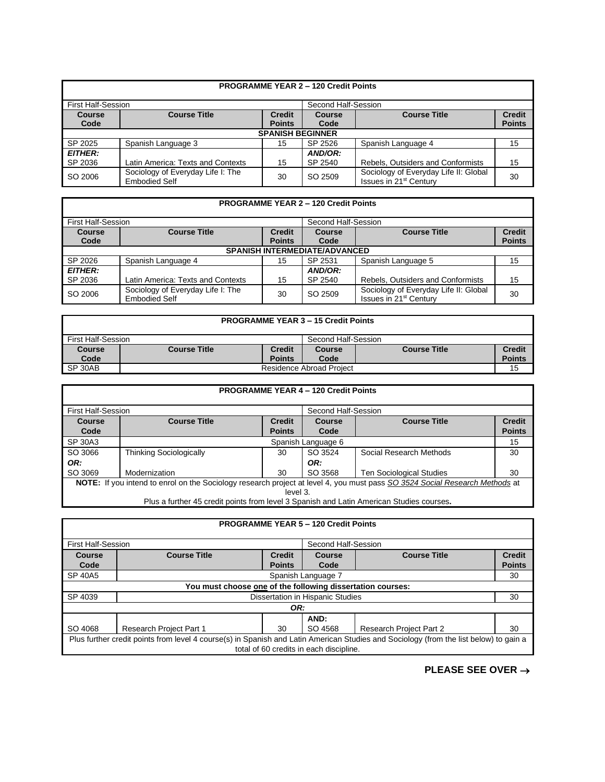|                       |                                                           |                                | <b>PROGRAMME YEAR 2 - 120 Credit Points</b> |                                                                             |                                |  |
|-----------------------|-----------------------------------------------------------|--------------------------------|---------------------------------------------|-----------------------------------------------------------------------------|--------------------------------|--|
|                       | <b>First Half-Session</b><br>Second Half-Session          |                                |                                             |                                                                             |                                |  |
| <b>Course</b><br>Code | <b>Course Title</b>                                       | <b>Credit</b><br><b>Points</b> | <b>Course</b><br>Code                       | <b>Course Title</b>                                                         | <b>Credit</b><br><b>Points</b> |  |
|                       | <b>SPANISH BEGINNER</b>                                   |                                |                                             |                                                                             |                                |  |
| SP 2025               | Spanish Language 3                                        | 15                             | SP 2526                                     | Spanish Language 4                                                          | 15                             |  |
| <b>EITHER:</b>        |                                                           |                                | AND/OR:                                     |                                                                             |                                |  |
| SP 2036               | Latin America: Texts and Contexts                         | 15                             | SP 2540                                     | Rebels, Outsiders and Conformists                                           | 15                             |  |
| SO 2006               | Sociology of Everyday Life I: The<br><b>Embodied Self</b> | 30                             | SO 2509                                     | Sociology of Everyday Life II: Global<br>Issues in 21 <sup>st</sup> Century | 30                             |  |

|                |                                                           |               | <b>PROGRAMME YEAR 2 - 120 Credit Points</b> |                                                                             |               |  |
|----------------|-----------------------------------------------------------|---------------|---------------------------------------------|-----------------------------------------------------------------------------|---------------|--|
|                | <b>First Half-Session</b>                                 |               |                                             | Second Half-Session                                                         |               |  |
| Course         | <b>Course Title</b>                                       | <b>Credit</b> | Course                                      | <b>Course Title</b>                                                         | <b>Credit</b> |  |
| Code           |                                                           | <b>Points</b> | Code                                        |                                                                             | <b>Points</b> |  |
|                | <b>SPANISH INTERMEDIATE/ADVANCED</b>                      |               |                                             |                                                                             |               |  |
| SP 2026        | Spanish Language 4                                        | 15            | SP 2531                                     | Spanish Language 5                                                          | 15            |  |
| <b>EITHER:</b> |                                                           |               | AND/OR:                                     |                                                                             |               |  |
| SP 2036        | Latin America: Texts and Contexts                         | 15            | SP 2540                                     | Rebels, Outsiders and Conformists                                           | 15            |  |
| SO 2006        | Sociology of Everyday Life I: The<br><b>Embodied Self</b> | 30            | SO 2509                                     | Sociology of Everyday Life II: Global<br>Issues in 21 <sup>st</sup> Century | 30            |  |

| <b>PROGRAMME YEAR 3 - 15 Credit Points</b> |                     |                                                |      |  |               |
|--------------------------------------------|---------------------|------------------------------------------------|------|--|---------------|
| First Half-Session<br>Second Half-Session  |                     |                                                |      |  |               |
| <b>Course</b>                              | <b>Course Title</b> | Credit<br><b>Course Title</b><br><b>Course</b> |      |  | <b>Credit</b> |
| Code                                       |                     | <b>Points</b>                                  | Code |  | <b>Points</b> |
| SP 30AB<br>Residence Abroad Project        |                     |                                                |      |  | 15            |

|         |                                                                                                                             |                                                                 | <b>PROGRAMME YEAR 4 - 120 Credit Points</b> |                                 |               |
|---------|-----------------------------------------------------------------------------------------------------------------------------|-----------------------------------------------------------------|---------------------------------------------|---------------------------------|---------------|
|         | <b>First Half-Session</b><br>Second Half-Session                                                                            |                                                                 |                                             |                                 |               |
| Course  | <b>Course Title</b>                                                                                                         | <b>Credit</b><br><b>Credit</b><br><b>Course Title</b><br>Course |                                             |                                 |               |
| Code    |                                                                                                                             | <b>Points</b>                                                   | Code                                        |                                 | <b>Points</b> |
| SP 30A3 | Spanish Language 6<br>15                                                                                                    |                                                                 |                                             |                                 |               |
| SO 3066 | <b>Thinking Sociologically</b>                                                                                              | 30                                                              | SO 3524                                     | Social Research Methods         | 30            |
| OR:     |                                                                                                                             |                                                                 | OR:                                         |                                 |               |
| SO 3069 | Modernization                                                                                                               | 30                                                              | SO 3568                                     | <b>Ten Sociological Studies</b> | 30            |
|         | NOTE: If you intend to enrol on the Sociology research project at level 4, you must pass SO 3524 Social Research Methods at |                                                                 |                                             |                                 |               |
|         |                                                                                                                             | level 3.                                                        |                                             |                                 |               |
|         | Plus a further 45 credit points from level 3 Spanish and Latin American Studies courses.                                    |                                                                 |                                             |                                 |               |

|                                                                                                                                                                                  |                                                            |                                | <b>PROGRAMME YEAR 5 - 120 Credit Points</b> |                     |                                |
|----------------------------------------------------------------------------------------------------------------------------------------------------------------------------------|------------------------------------------------------------|--------------------------------|---------------------------------------------|---------------------|--------------------------------|
| <b>First Half-Session</b><br>Second Half-Session                                                                                                                                 |                                                            |                                |                                             |                     |                                |
| Course<br>Code                                                                                                                                                                   | <b>Course Title</b>                                        | <b>Credit</b><br><b>Points</b> | Course<br>Code                              | <b>Course Title</b> | <b>Credit</b><br><b>Points</b> |
| SP 40A5<br>Spanish Language 7                                                                                                                                                    |                                                            |                                |                                             | 30                  |                                |
|                                                                                                                                                                                  | You must choose one of the following dissertation courses: |                                |                                             |                     |                                |
| SP 4039                                                                                                                                                                          |                                                            |                                | Dissertation in Hispanic Studies            |                     | 30                             |
|                                                                                                                                                                                  |                                                            | OR:                            |                                             |                     |                                |
| AND:<br>Research Project Part 2<br>SO 4068<br>Research Project Part 1<br>SO 4568<br>30<br>30                                                                                     |                                                            |                                |                                             |                     |                                |
| Plus further credit points from level 4 course(s) in Spanish and Latin American Studies and Sociology (from the list below) to gain a<br>total of 60 credits in each discipline. |                                                            |                                |                                             |                     |                                |

**PLEASE SEE OVER** →